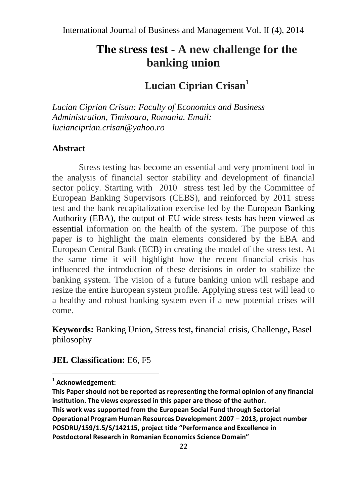# **The stress test - A new challenge for the banking union**

# **Lucian Ciprian Crisan<sup>1</sup>**

*Lucian Ciprian Crisan: Faculty of Economics and Business Administration, Timisoara, Romania. Email: lucianciprian.crisan@yahoo.ro*

#### **Abstract**

Stress testing has become an essential and very prominent tool in the analysis of financial sector stability and development of financial sector policy. Starting with 2010 stress test led by the Committee of European Banking Supervisors (CEBS), and reinforced by 2011 stress test and the bank recapitalization exercise led by the European Banking Authority (EBA), the output of EU wide stress tests has been viewed as essential information on the health of the system. The purpose of this paper is to highlight the main elements considered by the EBA and European Central Bank (ECB) in creating the model of the stress test. At the same time it will highlight how the recent financial crisis has influenced the introduction of these decisions in order to stabilize the banking system. The vision of a future banking union will reshape and resize the entire European system profile. Applying stress test will lead to a healthy and robust banking system even if a new potential crises will come.

**Keywords:** Banking Union**,** Stress test**,** financial crisis, Challenge**,** Basel philosophy

## **JEL Classification:** E6, F5

 $\overline{a}$ 

<sup>1</sup> **Acknowledgement:** 

**This Paper should not be reported as representing the formal opinion of any financial institution. The views expressed in this paper are those of the author.** 

**This work was supported from the European Social Fund through Sectorial Operational Program Human Resources Development 2007 – 2013, project number POSDRU/159/1.5/S/142115, project title "Performance and Excellence in Postdoctoral Research in Romanian Economics Science Domain"**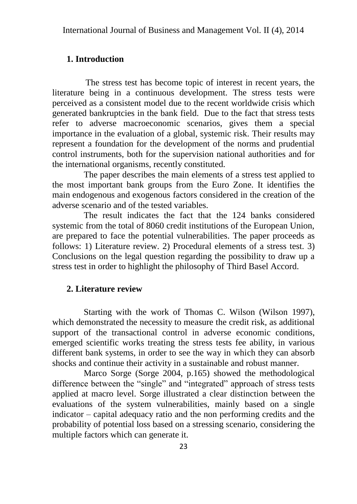#### **1. Introduction**

 The stress test has become topic of interest in recent years, the literature being in a continuous development. The stress tests were perceived as a consistent model due to the recent worldwide crisis which generated bankruptcies in the bank field. Due to the fact that stress tests refer to adverse macroeconomic scenarios, gives them a special importance in the evaluation of a global, systemic risk. Their results may represent a foundation for the development of the norms and prudential control instruments, both for the supervision national authorities and for the international organisms, recently constituted.

The paper describes the main elements of a stress test applied to the most important bank groups from the Euro Zone. It identifies the main endogenous and exogenous factors considered in the creation of the adverse scenario and of the tested variables.

The result indicates the fact that the 124 banks considered systemic from the total of 8060 credit institutions of the European Union, are prepared to face the potential vulnerabilities. The paper proceeds as follows: 1) Literature review. 2) Procedural elements of a stress test. 3) Conclusions on the legal question regarding the possibility to draw up a stress test in order to highlight the philosophy of Third Basel Accord.

## **2. Literature review**

Starting with the work of Thomas C. Wilson (Wilson 1997), which demonstrated the necessity to measure the credit risk, as additional support of the transactional control in adverse economic conditions, emerged scientific works treating the stress tests fee ability, in various different bank systems, in order to see the way in which they can absorb shocks and continue their activity in a sustainable and robust manner.

Marco Sorge (Sorge 2004, p.165) showed the methodological difference between the "single" and "integrated" approach of stress tests applied at macro level. Sorge illustrated a clear distinction between the evaluations of the system vulnerabilities, mainly based on a single indicator – capital adequacy ratio and the non performing credits and the probability of potential loss based on a stressing scenario, considering the multiple factors which can generate it.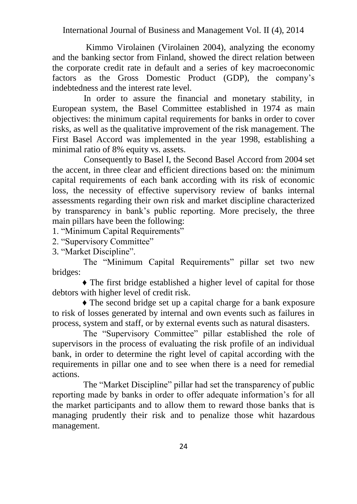Kimmo Virolainen (Virolainen 2004), analyzing the economy and the banking sector from Finland, showed the direct relation between the corporate credit rate in default and a series of key macroeconomic factors as the Gross Domestic Product (GDP), the company's indebtedness and the interest rate level.

In order to assure the financial and monetary stability, in European system, the Basel Committee established in 1974 as main objectives: the minimum capital requirements for banks in order to cover risks, as well as the qualitative improvement of the risk management. The First Basel Accord was implemented in the year 1998, establishing a minimal ratio of 8% equity vs. assets.

Consequently to Basel I, the Second Basel Accord from 2004 set the accent, in three clear and efficient directions based on: the minimum capital requirements of each bank according with its risk of economic loss, the necessity of effective supervisory review of banks internal assessments regarding their own risk and market discipline characterized by transparency in bank's public reporting. More precisely, the three main pillars have been the following:

1. "Minimum Capital Requirements"

2. "Supervisory Committee"

3. "Market Discipline".

 The "Minimum Capital Requirements" pillar set two new bridges:

♦ The first bridge established a higher level of capital for those debtors with higher level of credit risk.

♦ The second bridge set up a capital charge for a bank exposure to risk of losses generated by internal and own events such as failures in process, system and staff, or by external events such as natural disasters.

 The "Supervisory Committee" pillar established the role of supervisors in the process of evaluating the risk profile of an individual bank, in order to determine the right level of capital according with the requirements in pillar one and to see when there is a need for remedial actions.

 The "Market Discipline" pillar had set the transparency of public reporting made by banks in order to offer adequate information's for all the market participants and to allow them to reward those banks that is managing prudently their risk and to penalize those whit hazardous management.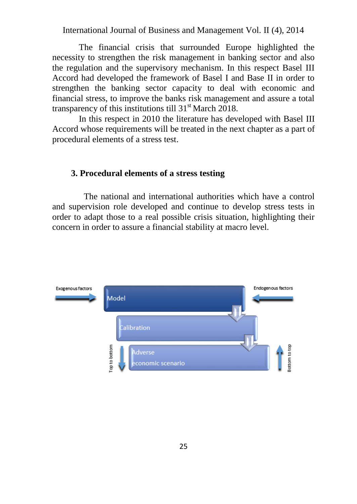The financial crisis that surrounded Europe highlighted the necessity to strengthen the risk management in banking sector and also the regulation and the supervisory mechanism. In this respect Basel III Accord had developed the framework of Basel I and Base II in order to strengthen the banking sector capacity to deal with economic and financial stress, to improve the banks risk management and assure a total transparency of this institutions till  $31<sup>st</sup>$  March 2018.

In this respect in 2010 the literature has developed with Basel III Accord whose requirements will be treated in the next chapter as a part of procedural elements of a stress test.

## **3. Procedural elements of a stress testing**

The national and international authorities which have a control and supervision role developed and continue to develop stress tests in order to adapt those to a real possible crisis situation, highlighting their concern in order to assure a financial stability at macro level.

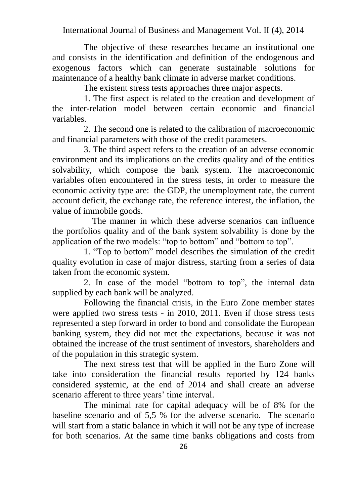The objective of these researches became an institutional one and consists in the identification and definition of the endogenous and exogenous factors which can generate sustainable solutions for maintenance of a healthy bank climate in adverse market conditions.

The existent stress tests approaches three major aspects.

1. The first aspect is related to the creation and development of the inter-relation model between certain economic and financial variables.

2. The second one is related to the calibration of macroeconomic and financial parameters with those of the credit parameters.

3. The third aspect refers to the creation of an adverse economic environment and its implications on the credits quality and of the entities solvability, which compose the bank system. The macroeconomic variables often encountered in the stress tests, in order to measure the economic activity type are: the GDP, the unemployment rate, the current account deficit, the exchange rate, the reference interest, the inflation, the value of immobile goods.

 The manner in which these adverse scenarios can influence the portfolios quality and of the bank system solvability is done by the application of the two models: "top to bottom" and "bottom to top".

1. "Top to bottom" model describes the simulation of the credit quality evolution in case of major distress, starting from a series of data taken from the economic system.

2. In case of the model "bottom to top", the internal data supplied by each bank will be analyzed.

Following the financial crisis, in the Euro Zone member states were applied two stress tests - in 2010, 2011. Even if those stress tests represented a step forward in order to bond and consolidate the European banking system, they did not met the expectations, because it was not obtained the increase of the trust sentiment of investors, shareholders and of the population in this strategic system.

The next stress test that will be applied in the Euro Zone will take into consideration the financial results reported by 124 banks considered systemic, at the end of 2014 and shall create an adverse scenario afferent to three years' time interval.

The minimal rate for capital adequacy will be of 8% for the baseline scenario and of 5,5 % for the adverse scenario. The scenario will start from a static balance in which it will not be any type of increase for both scenarios. At the same time banks obligations and costs from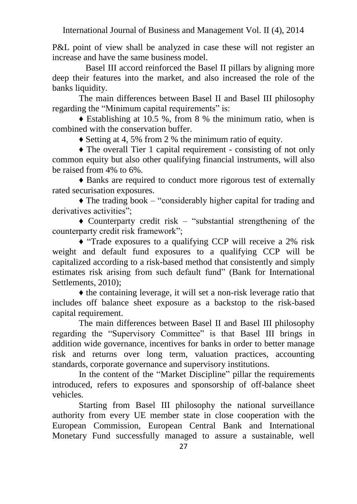P&L point of view shall be analyzed in case these will not register an increase and have the same business model.

 Basel III accord reinforced the Basel II pillars by aligning more deep their features into the market, and also increased the role of the banks liquidity.

The main differences between Basel II and Basel III philosophy regarding the "Minimum capital requirements" is:

 $\triangle$  Establishing at 10.5 %, from 8 % the minimum ratio, when is combined with the conservation buffer.

♦ Setting at 4, 5% from 2 % the minimum ratio of equity.

♦ The overall Tier 1 capital requirement - consisting of not only common equity but also other qualifying financial instruments, will also be raised from 4% to 6%.

♦ Banks are required to conduct more rigorous test of externally rated securisation exposures.

 $\triangle$  The trading book – "considerably higher capital for trading and derivatives activities";

♦ Counterparty credit risk – "substantial strengthening of the counterparty credit risk framework";

♦ "Trade exposures to a qualifying CCP will receive a 2% risk weight and default fund exposures to a qualifying CCP will be capitalized according to a risk-based method that consistently and simply estimates risk arising from such default fund" (Bank for International Settlements, 2010);

♦ the containing leverage, it will set a non-risk leverage ratio that includes off balance sheet exposure as a backstop to the risk-based capital requirement.

The main differences between Basel II and Basel III philosophy regarding the "Supervisory Committee" is that Basel III brings in addition wide governance, incentives for banks in order to better manage risk and returns over long term, valuation practices, accounting standards, corporate governance and supervisory institutions.

In the content of the "Market Discipline" pillar the requirements introduced, refers to exposures and sponsorship of off-balance sheet vehicles.

Starting from Basel III philosophy the national surveillance authority from every UE member state in close cooperation with the European Commission, European Central Bank and International Monetary Fund successfully managed to assure a sustainable, well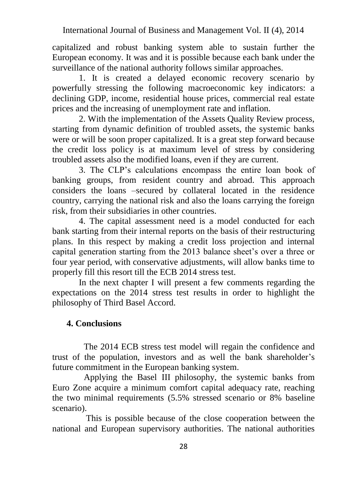capitalized and robust banking system able to sustain further the European economy. It was and it is possible because each bank under the surveillance of the national authority follows similar approaches.

1. It is created a delayed economic recovery scenario by powerfully stressing the following macroeconomic key indicators: a declining GDP, income, residential house prices, commercial real estate prices and the increasing of unemployment rate and inflation.

2. With the implementation of the Assets Quality Review process, starting from dynamic definition of troubled assets, the systemic banks were or will be soon proper capitalized. It is a great step forward because the credit loss policy is at maximum level of stress by considering troubled assets also the modified loans, even if they are current.

3. The CLP's calculations encompass the entire loan book of banking groups, from resident country and abroad. This approach considers the loans –secured by collateral located in the residence country, carrying the national risk and also the loans carrying the foreign risk, from their subsidiaries in other countries.

4. The capital assessment need is a model conducted for each bank starting from their internal reports on the basis of their restructuring plans. In this respect by making a credit loss projection and internal capital generation starting from the 2013 balance sheet's over a three or four year period, with conservative adjustments, will allow banks time to properly fill this resort till the ECB 2014 stress test.

In the next chapter I will present a few comments regarding the expectations on the 2014 stress test results in order to highlight the philosophy of Third Basel Accord.

#### **4. Conclusions**

The 2014 ECB stress test model will regain the confidence and trust of the population, investors and as well the bank shareholder's future commitment in the European banking system.

Applying the Basel III philosophy, the systemic banks from Euro Zone acquire a minimum comfort capital adequacy rate, reaching the two minimal requirements (5.5% stressed scenario or 8% baseline scenario).

This is possible because of the close cooperation between the national and European supervisory authorities. The national authorities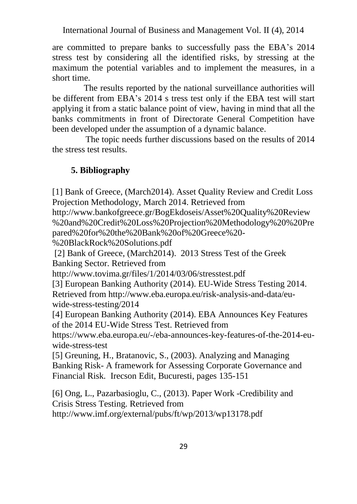are committed to prepare banks to successfully pass the EBA's 2014 stress test by considering all the identified risks, by stressing at the maximum the potential variables and to implement the measures, in a short time.

The results reported by the national surveillance authorities will be different from EBA's 2014 s tress test only if the EBA test will start applying it from a static balance point of view, having in mind that all the banks commitments in front of Directorate General Competition have been developed under the assumption of a dynamic balance.

 The topic needs further discussions based on the results of 2014 the stress test results.

# **5. Bibliography**

[1] Bank of Greece, (March2014). Asset Quality Review and Credit Loss Projection Methodology, March 2014. Retrieved from

[http://www.bankofgreece.gr/BogEkdoseis/Asset%20Quality%20Review](http://www.bankofgreece.gr/BogEkdoseis/Asset%20Quality%20Review%20and%20Credit%20Loss%20Projection%20Methodology%20%20Prepared%20for%20the%20Bank%20of%20Greece%20-%20BlackRock%20Solutions.pdf) [%20and%20Credit%20Loss%20Projection%20Methodology%20%20Pre](http://www.bankofgreece.gr/BogEkdoseis/Asset%20Quality%20Review%20and%20Credit%20Loss%20Projection%20Methodology%20%20Prepared%20for%20the%20Bank%20of%20Greece%20-%20BlackRock%20Solutions.pdf) [pared%20for%20the%20Bank%20of%20Greece%20-](http://www.bankofgreece.gr/BogEkdoseis/Asset%20Quality%20Review%20and%20Credit%20Loss%20Projection%20Methodology%20%20Prepared%20for%20the%20Bank%20of%20Greece%20-%20BlackRock%20Solutions.pdf)

[%20BlackRock%20Solutions.pdf](http://www.bankofgreece.gr/BogEkdoseis/Asset%20Quality%20Review%20and%20Credit%20Loss%20Projection%20Methodology%20%20Prepared%20for%20the%20Bank%20of%20Greece%20-%20BlackRock%20Solutions.pdf)

[2] Bank of Greece, (March2014). 2013 Stress Test of the Greek Banking Sector. Retrieved from

<http://www.tovima.gr/files/1/2014/03/06/stresstest.pdf>

[3] European Banking Authority (2014). EU-Wide Stress Testing 2014. Retrieved from [http://www.eba.europa.eu/risk-analysis-and-data/eu](http://www.eba.europa.eu/risk-analysis-and-data/eu-wide-stress-testing/2014)[wide-stress-testing/2014](http://www.eba.europa.eu/risk-analysis-and-data/eu-wide-stress-testing/2014) 

[4] European Banking Authority (2014). EBA Announces Key Features of the 2014 EU-Wide Stress Test. Retrieved from

[https://www.eba.europa.eu/-/eba-announces-key-features-of-the-2014-eu](https://www.eba.europa.eu/-/eba-announces-key-features-of-the-2014-eu-wide-stress-test)[wide-stress-test](https://www.eba.europa.eu/-/eba-announces-key-features-of-the-2014-eu-wide-stress-test) 

[5] Greuning, H., Bratanovic, S., (2003). Analyzing and Managing Banking Risk- A framework for Assessing Corporate Governance and Financial Risk*.* Irecson Edit, Bucuresti, pages 135-151

[6] Ong, L., Pazarbasioglu, C., (2013). Paper Work -Credibility and Crisis Stress Testing. Retrieved from <http://www.imf.org/external/pubs/ft/wp/2013/wp13178.pdf>